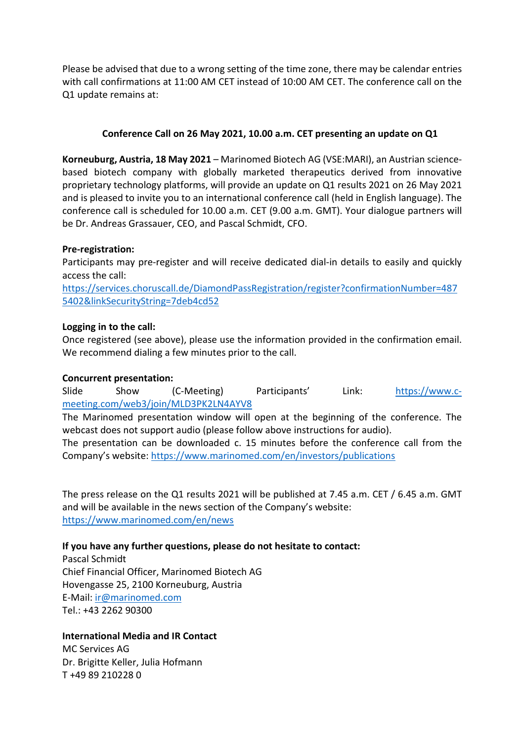Please be advised that due to a wrong setting of the time zone, there may be calendar entries with call confirmations at 11:00 AM CET instead of 10:00 AM CET. The conference call on the Q1 update remains at:

# Conference Call on 26 May 2021, 10.00 a.m. CET presenting an update on Q1

Korneuburg, Austria, 18 May 2021 – Marinomed Biotech AG (VSE:MARI), an Austrian sciencebased biotech company with globally marketed therapeutics derived from innovative proprietary technology platforms, will provide an update on Q1 results 2021 on 26 May 2021 and is pleased to invite you to an international conference call (held in English language). The conference call is scheduled for 10.00 a.m. CET (9.00 a.m. GMT). Your dialogue partners will be Dr. Andreas Grassauer, CEO, and Pascal Schmidt, CFO.

## Pre-registration:

Participants may pre-register and will receive dedicated dial-in details to easily and quickly access the call:

https://services.choruscall.de/DiamondPassRegistration/register?confirmationNumber=487 5402&linkSecurityString=7deb4cd52

## Logging in to the call:

Once registered (see above), please use the information provided in the confirmation email. We recommend dialing a few minutes prior to the call.

## Concurrent presentation:

Slide Show (C-Meeting) Participants' Link: https://www.cmeeting.com/web3/join/MLD3PK2LN4AYV8

The Marinomed presentation window will open at the beginning of the conference. The webcast does not support audio (please follow above instructions for audio).

The presentation can be downloaded c. 15 minutes before the conference call from the Company's website: https://www.marinomed.com/en/investors/publications

The press release on the Q1 results 2021 will be published at 7.45 a.m. CET / 6.45 a.m. GMT and will be available in the news section of the Company's website: https://www.marinomed.com/en/news

## If you have any further questions, please do not hesitate to contact:

Pascal Schmidt Chief Financial Officer, Marinomed Biotech AG Hovengasse 25, 2100 Korneuburg, Austria E-Mail: ir@marinomed.com Tel.: +43 2262 90300

## International Media and IR Contact

MC Services AG Dr. Brigitte Keller, Julia Hofmann T +49 89 210228 0